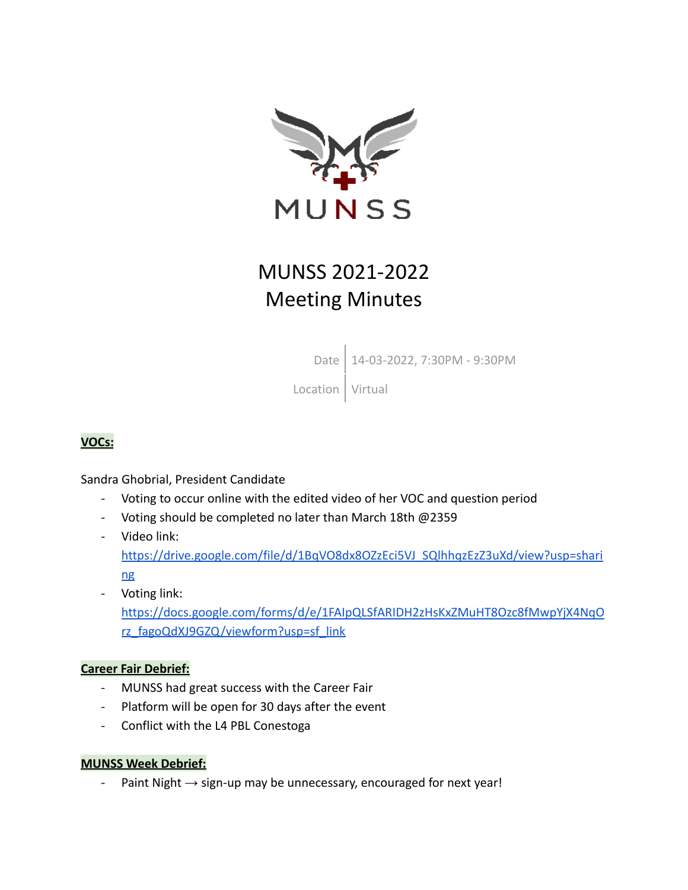

# MUNSS 2021-2022 Meeting Minutes

Date 14-03-2022, 7:30PM - 9:30PM

Location | Virtual

## **VOCs:**

Sandra Ghobrial, President Candidate

- Voting to occur online with the edited video of her VOC and question period
- Voting should be completed no later than March 18th @2359
- Video link: [https://drive.google.com/file/d/1BqVO8dx8OZzEci5VJ\\_SQlhhqzEzZ3uXd/view?usp=shari](https://drive.google.com/file/d/1BqVO8dx8OZzEci5VJ_SQlhhqzEzZ3uXd/view?usp=sharing) [ng](https://drive.google.com/file/d/1BqVO8dx8OZzEci5VJ_SQlhhqzEzZ3uXd/view?usp=sharing)
- Voting link: [https://docs.google.com/forms/d/e/1FAIpQLSfARIDH2zHsKxZMuHT8Ozc8fMwpYjX4NqO](https://docs.google.com/forms/d/e/1FAIpQLSfARIDH2zHsKxZMuHT8Ozc8fMwpYjX4NqOrz_fagoQdXJ9GZQ/viewform?usp=sf_link) [rz\\_fagoQdXJ9GZQ/viewform?usp=sf\\_link](https://docs.google.com/forms/d/e/1FAIpQLSfARIDH2zHsKxZMuHT8Ozc8fMwpYjX4NqOrz_fagoQdXJ9GZQ/viewform?usp=sf_link)

#### **Career Fair Debrief:**

- MUNSS had great success with the Career Fair
- Platform will be open for 30 days after the event
- Conflict with the L4 PBL Conestoga

#### **MUNSS Week Debrief:**

- Paint Night  $\rightarrow$  sign-up may be unnecessary, encouraged for next year!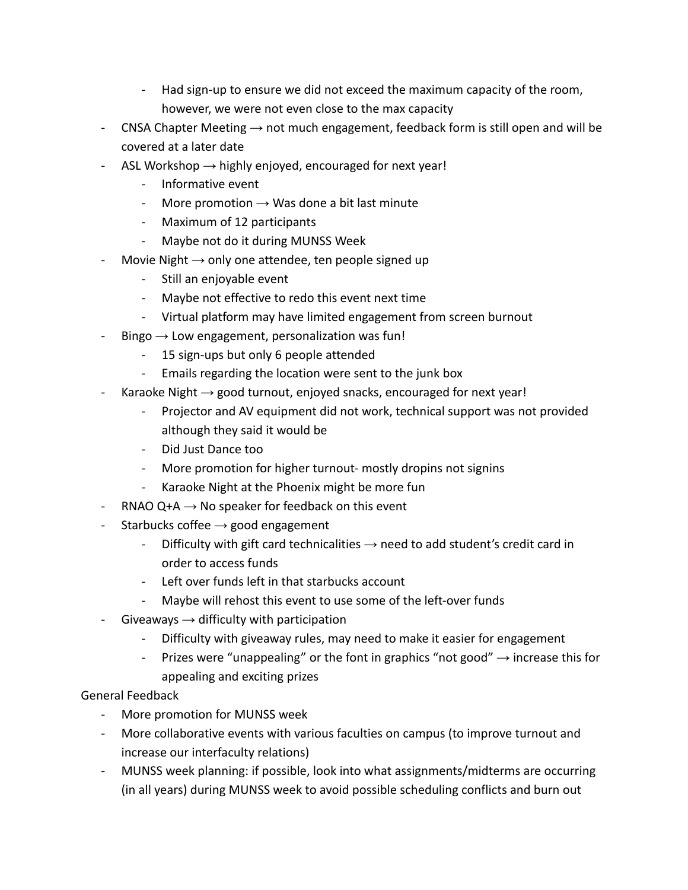- Had sign-up to ensure we did not exceed the maximum capacity of the room, however, we were not even close to the max capacity
- CNSA Chapter Meeting  $\rightarrow$  not much engagement, feedback form is still open and will be covered at a later date
- ASL Workshop  $\rightarrow$  highly enjoyed, encouraged for next year!
	- Informative event
	- More promotion  $\rightarrow$  Was done a bit last minute
	- Maximum of 12 participants
	- Maybe not do it during MUNSS Week
- Movie Night  $\rightarrow$  only one attendee, ten people signed up
	- Still an enjoyable event
	- Maybe not effective to redo this event next time
	- Virtual platform may have limited engagement from screen burnout
- Bingo  $\rightarrow$  Low engagement, personalization was fun!
	- 15 sign-ups but only 6 people attended
	- Emails regarding the location were sent to the junk box
- Karaoke Night  $\rightarrow$  good turnout, enjoyed snacks, encouraged for next year!
	- Projector and AV equipment did not work, technical support was not provided although they said it would be
	- Did Just Dance too
	- More promotion for higher turnout- mostly dropins not signins
	- Karaoke Night at the Phoenix might be more fun
- RNAO Q+A  $\rightarrow$  No speaker for feedback on this event
- Starbucks coffee  $\rightarrow$  good engagement
	- Difficulty with gift card technicalities  $\rightarrow$  need to add student's credit card in order to access funds
	- Left over funds left in that starbucks account
	- Maybe will rehost this event to use some of the left-over funds
- Giveaways  $\rightarrow$  difficulty with participation
	- Difficulty with giveaway rules, may need to make it easier for engagement
	- Prizes were "unappealing" or the font in graphics "not good"  $\rightarrow$  increase this for appealing and exciting prizes

#### General Feedback

- More promotion for MUNSS week
- More collaborative events with various faculties on campus (to improve turnout and increase our interfaculty relations)
- MUNSS week planning: if possible, look into what assignments/midterms are occurring (in all years) during MUNSS week to avoid possible scheduling conflicts and burn out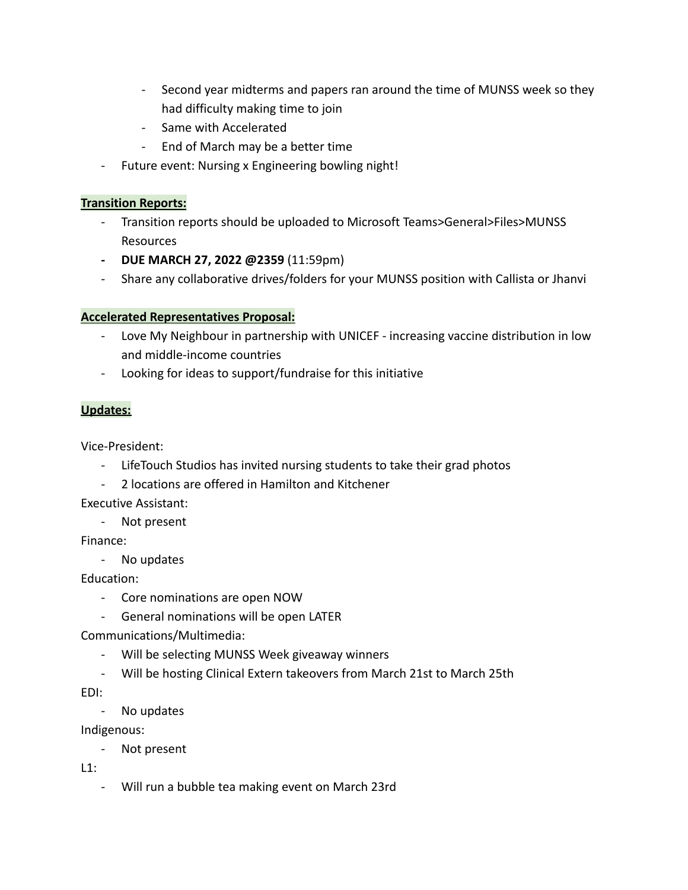- Second year midterms and papers ran around the time of MUNSS week so they had difficulty making time to join
- Same with Accelerated
- End of March may be a better time
- Future event: Nursing x Engineering bowling night!

#### **Transition Reports:**

- Transition reports should be uploaded to Microsoft Teams>General>Files>MUNSS Resources
- **- DUE MARCH 27, 2022 @2359** (11:59pm)
- Share any collaborative drives/folders for your MUNSS position with Callista or Jhanvi

#### **Accelerated Representatives Proposal:**

- Love My Neighbour in partnership with UNICEF increasing vaccine distribution in low and middle-income countries
- Looking for ideas to support/fundraise for this initiative

#### **Updates:**

Vice-President:

- LifeTouch Studios has invited nursing students to take their grad photos
- 2 locations are offered in Hamilton and Kitchener

Executive Assistant:

- Not present

Finance:

- No updates

Education:

- Core nominations are open NOW
- General nominations will be open LATER

Communications/Multimedia:

- Will be selecting MUNSS Week giveaway winners
- Will be hosting Clinical Extern takeovers from March 21st to March 25th

EDI:

- No updates

Indigenous:

- Not present

 $L1$ :

- Will run a bubble tea making event on March 23rd